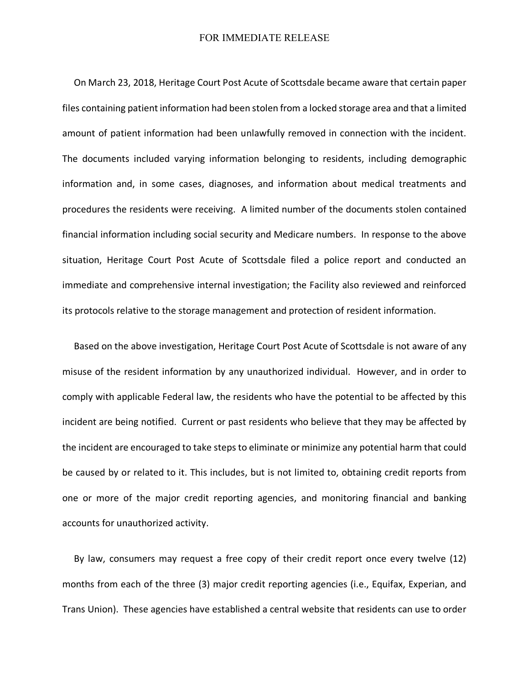## FOR IMMEDIATE RELEASE

 On March 23, 2018, Heritage Court Post Acute of Scottsdale became aware that certain paper files containing patient information had been stolen from a locked storage area and that a limited amount of patient information had been unlawfully removed in connection with the incident. The documents included varying information belonging to residents, including demographic information and, in some cases, diagnoses, and information about medical treatments and procedures the residents were receiving. A limited number of the documents stolen contained financial information including social security and Medicare numbers. In response to the above situation, Heritage Court Post Acute of Scottsdale filed a police report and conducted an immediate and comprehensive internal investigation; the Facility also reviewed and reinforced its protocols relative to the storage management and protection of resident information.

 Based on the above investigation, Heritage Court Post Acute of Scottsdale is not aware of any misuse of the resident information by any unauthorized individual. However, and in order to comply with applicable Federal law, the residents who have the potential to be affected by this incident are being notified. Current or past residents who believe that they may be affected by the incident are encouraged to take steps to eliminate or minimize any potential harm that could be caused by or related to it. This includes, but is not limited to, obtaining credit reports from one or more of the major credit reporting agencies, and monitoring financial and banking accounts for unauthorized activity.

 By law, consumers may request a free copy of their credit report once every twelve (12) months from each of the three (3) major credit reporting agencies (i.e., Equifax, Experian, and Trans Union). These agencies have established a central website that residents can use to order